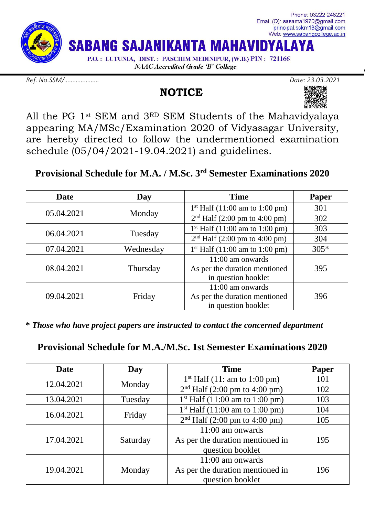

*Ref. No.SSM/………………… Date: 23.03.2021*

# **NOTICE**



All the PG 1st SEM and 3RD SEM Students of the Mahavidyalaya appearing MA/MSc/Examination 2020 of Vidyasagar University, are hereby directed to follow the undermentioned examination schedule (05/04/2021-19.04.2021) and guidelines.

## **Provisional Schedule for M.A. / M.Sc. 3rd Semester Examinations 2020**

| Date       | Day       | <b>Time</b>                                                                | Paper  |
|------------|-----------|----------------------------------------------------------------------------|--------|
| 05.04.2021 | Monday    | $1st$ Half (11:00 am to 1:00 pm)                                           | 301    |
|            |           | $2nd$ Half (2:00 pm to 4:00 pm)                                            | 302    |
| 06.04.2021 | Tuesday   | $1st$ Half (11:00 am to 1:00 pm)                                           | 303    |
|            |           | $2nd$ Half (2:00 pm to 4:00 pm)                                            | 304    |
| 07.04.2021 | Wednesday | $1st$ Half (11:00 am to 1:00 pm)                                           | $305*$ |
| 08.04.2021 | Thursday  | 11:00 am onwards<br>As per the duration mentioned<br>in question booklet   | 395    |
| 09.04.2021 | Friday    | $11:00$ am onwards<br>As per the duration mentioned<br>in question booklet | 396    |

 **\*** *Those who have project papers are instructed to contact the concerned department*

**Provisional Schedule for M.A./M.Sc. 1st Semester Examinations 2020**

| <b>Date</b> | Day      | <b>Time</b>                                                                                                                                                                                        | Paper |
|-------------|----------|----------------------------------------------------------------------------------------------------------------------------------------------------------------------------------------------------|-------|
| 12.04.2021  |          | $1st$ Half (11: am to 1:00 pm)                                                                                                                                                                     | 101   |
|             | Monday   | $2nd$ Half (2:00 pm to 4:00 pm)<br>$1st$ Half (11:00 am to 1:00 pm)<br>$1st$ Half (11:00 am to 1:00 pm)<br>$2nd$ Half (2:00 pm to 4:00 pm)<br>11:00 am onwards<br>As per the duration mentioned in | 102   |
| 13.04.2021  | Tuesday  |                                                                                                                                                                                                    | 103   |
| 16.04.2021  | Friday   |                                                                                                                                                                                                    | 104   |
|             |          |                                                                                                                                                                                                    | 105   |
| 17.04.2021  | Saturday |                                                                                                                                                                                                    |       |
|             |          |                                                                                                                                                                                                    | 195   |
|             |          | question booklet                                                                                                                                                                                   |       |
| 19.04.2021  | Monday   | $11:00$ am onwards                                                                                                                                                                                 |       |
|             |          | As per the duration mentioned in                                                                                                                                                                   | 196   |
|             |          | question booklet                                                                                                                                                                                   |       |